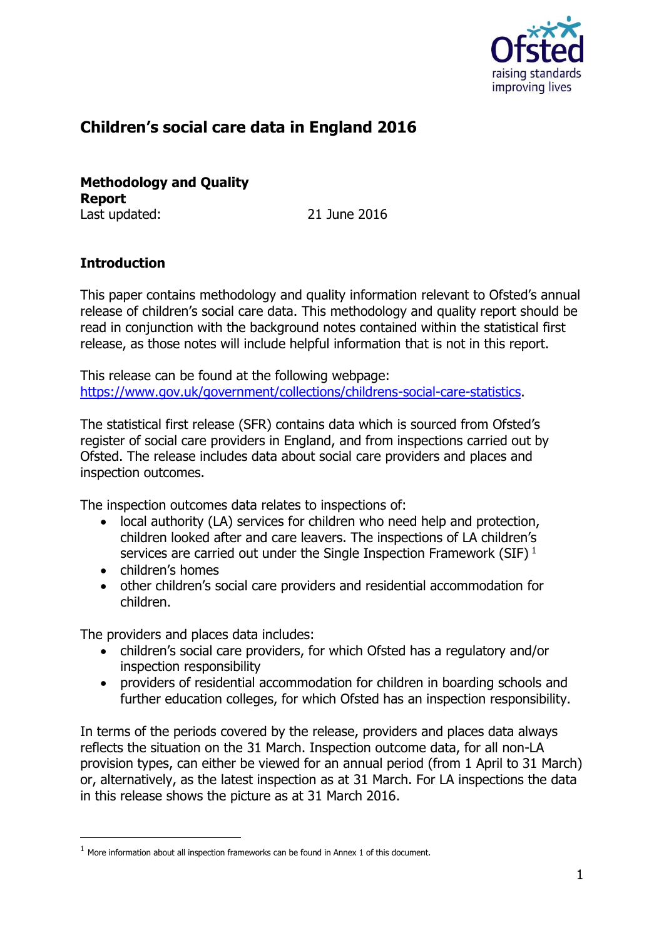

# **Children's social care data in England 2016**

**Methodology and Quality Report** Last updated: 21 June 2016

## **Introduction**

This paper contains methodology and quality information relevant to Ofsted's annual release of children's social care data. This methodology and quality report should be read in conjunction with the background notes contained within the statistical first release, as those notes will include helpful information that is not in this report.

This release can be found at the following webpage: [https://www.gov.uk/government/collections/childrens-social-care-statistics.](https://www.gov.uk/government/collections/childrens-social-care-statistics)

The statistical first release (SFR) contains data which is sourced from Ofsted's register of social care providers in England, and from inspections carried out by Ofsted. The release includes data about social care providers and places and inspection outcomes.

The inspection outcomes data relates to inspections of:

- local authority (LA) services for children who need help and protection, children looked after and care leavers. The inspections of LA children's services are carried out under the Single Inspection Framework (SIF)  $<sup>1</sup>$ </sup>
- children's homes

-

 other children's social care providers and residential accommodation for children.

The providers and places data includes:

- children's social care providers, for which Ofsted has a regulatory and/or inspection responsibility
- providers of residential accommodation for children in boarding schools and further education colleges, for which Ofsted has an inspection responsibility.

In terms of the periods covered by the release, providers and places data always reflects the situation on the 31 March. Inspection outcome data, for all non-LA provision types, can either be viewed for an annual period (from 1 April to 31 March) or, alternatively, as the latest inspection as at 31 March. For LA inspections the data in this release shows the picture as at 31 March 2016.

 $1$  More information about all inspection frameworks can be found in Annex 1 of this document.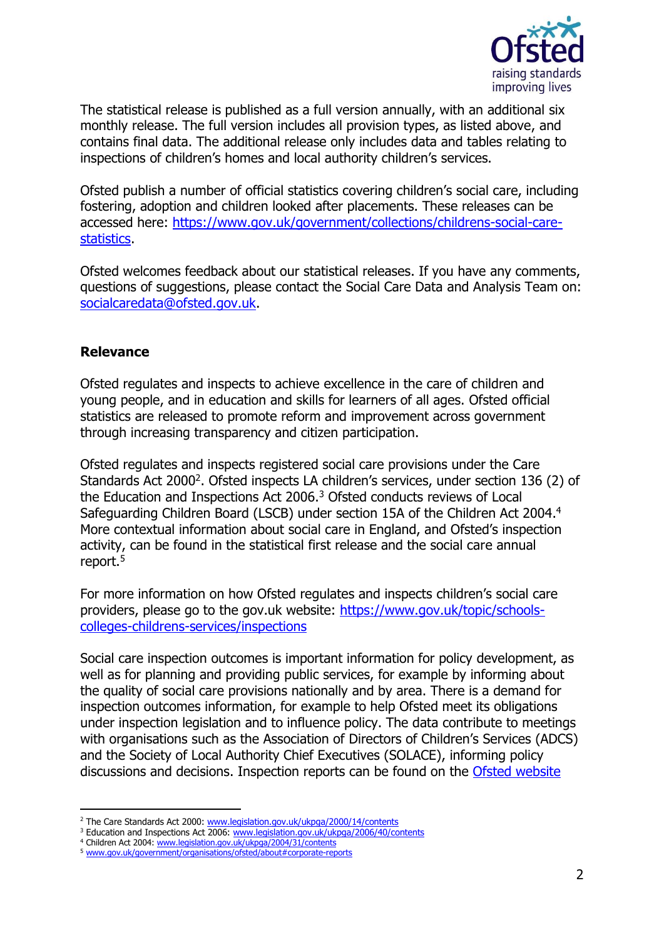

The statistical release is published as a full version annually, with an additional six monthly release. The full version includes all provision types, as listed above, and contains final data. The additional release only includes data and tables relating to inspections of children's homes and local authority children's services.

Ofsted publish a number of official statistics covering children's social care, including fostering, adoption and children looked after placements. These releases can be accessed here: [https://www.gov.uk/government/collections/childrens-social-care](https://www.gov.uk/government/collections/childrens-social-care-statistics)[statistics.](https://www.gov.uk/government/collections/childrens-social-care-statistics)

Ofsted welcomes feedback about our statistical releases. If you have any comments, questions of suggestions, please contact the Social Care Data and Analysis Team on: [socialcaredata@ofsted.gov.uk.](mailto:socialcaredata@ofsted.gov.uk)

## **Relevance**

-

Ofsted regulates and inspects to achieve excellence in the care of children and young people, and in education and skills for learners of all ages. Ofsted official statistics are released to promote reform and improvement across government through increasing transparency and citizen participation.

Ofsted regulates and inspects registered social care provisions under the Care Standards Act 2000<sup>2</sup>. Ofsted inspects LA children's services, under section 136 (2) of the Education and Inspections Act 2006.<sup>3</sup> Ofsted conducts reviews of Local Safeguarding Children Board (LSCB) under section 15A of the Children Act 2004.<sup>4</sup> More contextual information about social care in England, and Ofsted's inspection activity, can be found in the statistical first release and the social care annual report.<sup>5</sup>

For more information on how Ofsted regulates and inspects children's social care providers, please go to the gov.uk website: [https://www.gov.uk/topic/schools](https://www.gov.uk/topic/schools-colleges-childrens-services/inspections)[colleges-childrens-services/inspections](https://www.gov.uk/topic/schools-colleges-childrens-services/inspections)

Social care inspection outcomes is important information for policy development, as well as for planning and providing public services, for example by informing about the quality of social care provisions nationally and by area. There is a demand for inspection outcomes information, for example to help Ofsted meet its obligations under inspection legislation and to influence policy. The data contribute to meetings with organisations such as the Association of Directors of Children's Services (ADCS) and the Society of Local Authority Chief Executives (SOLACE), informing policy discussions and decisions. Inspection reports can be found on the [Ofsted website](http://reports.ofsted.gov.uk/)

<sup>&</sup>lt;sup>2</sup> The Care Standards Act 2000: [www.legislation.gov.uk/ukpga/2000/14/contents](http://www.legislation.gov.uk/ukpga/2000/14/contents)

<sup>&</sup>lt;sup>3</sup> Education and Inspections Act 2006: [www.legislation.gov.uk/ukpga/2006/40/contents](http://www.legislation.gov.uk/ukpga/2006/40/contents)

<sup>4</sup> Children Act 2004[: www.legislation.gov.uk/ukpga/2004/31/contents](http://www.legislation.gov.uk/ukpga/2004/31/contents)

<sup>5</sup> [www.gov.uk/government/organisations/ofsted/about#corporate-reports](https://www.gov.uk/government/organisations/ofsted/about%23corporate-reports)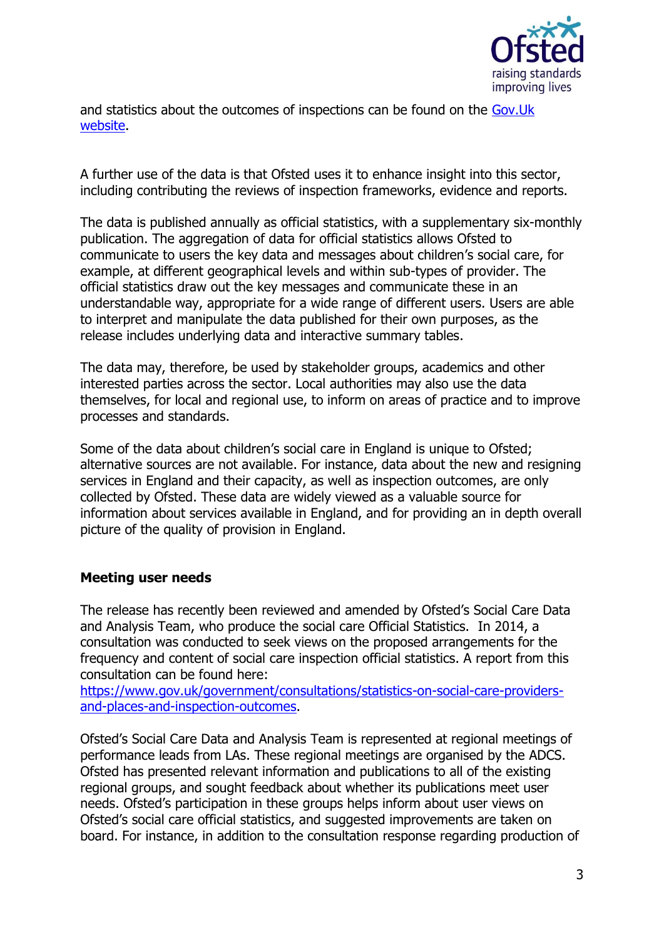

and statistics about the outcomes of inspections can be found on the [Gov.Uk](http://www.gov.uk/government/collections/childrens-social-care-statistics)  [website.](http://www.gov.uk/government/collections/childrens-social-care-statistics)

A further use of the data is that Ofsted uses it to enhance insight into this sector, including contributing the reviews of inspection frameworks, evidence and reports.

The data is published annually as official statistics, with a supplementary six-monthly publication. The aggregation of data for official statistics allows Ofsted to communicate to users the key data and messages about children's social care, for example, at different geographical levels and within sub-types of provider. The official statistics draw out the key messages and communicate these in an understandable way, appropriate for a wide range of different users. Users are able to interpret and manipulate the data published for their own purposes, as the release includes underlying data and interactive summary tables.

The data may, therefore, be used by stakeholder groups, academics and other interested parties across the sector. Local authorities may also use the data themselves, for local and regional use, to inform on areas of practice and to improve processes and standards.

Some of the data about children's social care in England is unique to Ofsted; alternative sources are not available. For instance, data about the new and resigning services in England and their capacity, as well as inspection outcomes, are only collected by Ofsted. These data are widely viewed as a valuable source for information about services available in England, and for providing an in depth overall picture of the quality of provision in England.

#### **Meeting user needs**

The release has recently been reviewed and amended by Ofsted's Social Care Data and Analysis Team, who produce the social care Official Statistics. In 2014, a consultation was conducted to seek views on the proposed arrangements for the frequency and content of social care inspection official statistics. A report from this consultation can be found here:

[https://www.gov.uk/government/consultations/statistics-on-social-care-providers](https://www.gov.uk/government/consultations/statistics-on-social-care-providers-and-places-and-inspection-outcomes)[and-places-and-inspection-outcomes.](https://www.gov.uk/government/consultations/statistics-on-social-care-providers-and-places-and-inspection-outcomes)

Ofsted's Social Care Data and Analysis Team is represented at regional meetings of performance leads from LAs. These regional meetings are organised by the ADCS. Ofsted has presented relevant information and publications to all of the existing regional groups, and sought feedback about whether its publications meet user needs. Ofsted's participation in these groups helps inform about user views on Ofsted's social care official statistics, and suggested improvements are taken on board. For instance, in addition to the consultation response regarding production of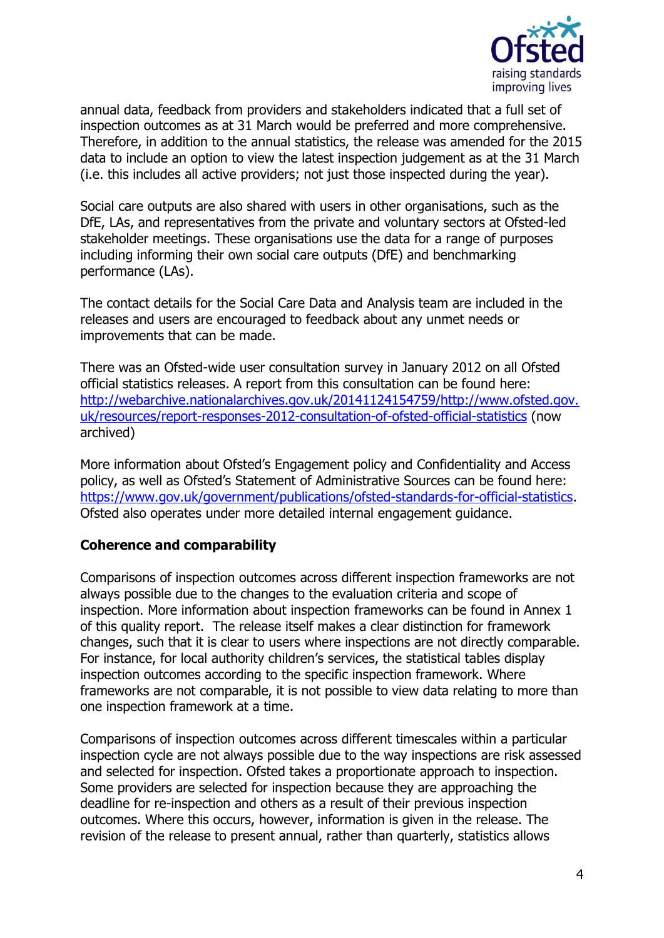

annual data, feedback from providers and stakeholders indicated that a full set of inspection outcomes as at 31 March would be preferred and more comprehensive. Therefore, in addition to the annual statistics, the release was amended for the 2015 data to include an option to view the latest inspection judgement as at the 31 March (i.e. this includes all active providers; not just those inspected during the year).

Social care outputs are also shared with users in other organisations, such as the DfE, LAs, and representatives from the private and voluntary sectors at Ofsted-led stakeholder meetings. These organisations use the data for a range of purposes including informing their own social care outputs (DfE) and benchmarking performance (LAs).

The contact details for the Social Care Data and Analysis team are included in the releases and users are encouraged to feedback about any unmet needs or improvements that can be made.

There was an Ofsted-wide user consultation survey in January 2012 on all Ofsted official statistics releases. A report from this consultation can be found here: [http://webarchive.nationalarchives.gov.uk/20141124154759/http://www.ofsted.gov.](http://webarchive.nationalarchives.gov.uk/20141124154759/http:/www.ofsted.gov.uk/resources/report-responses-2012-consultation-of-ofsted-official-statistics) [uk/resources/report-responses-2012-consultation-of-ofsted-official-statistics](http://webarchive.nationalarchives.gov.uk/20141124154759/http:/www.ofsted.gov.uk/resources/report-responses-2012-consultation-of-ofsted-official-statistics) (now archived)

More information about Ofsted's Engagement policy and Confidentiality and Access policy, as well as Ofsted's Statement of Administrative Sources can be found here: [https://www.gov.uk/government/publications/ofsted-standards-for-official-statistics.](https://www.gov.uk/government/publications/ofsted-standards-for-official-statistics) Ofsted also operates under more detailed internal engagement guidance.

#### **Coherence and comparability**

Comparisons of inspection outcomes across different inspection frameworks are not always possible due to the changes to the evaluation criteria and scope of inspection. More information about inspection frameworks can be found in Annex 1 of this quality report. The release itself makes a clear distinction for framework changes, such that it is clear to users where inspections are not directly comparable. For instance, for local authority children's services, the statistical tables display inspection outcomes according to the specific inspection framework. Where frameworks are not comparable, it is not possible to view data relating to more than one inspection framework at a time.

Comparisons of inspection outcomes across different timescales within a particular inspection cycle are not always possible due to the way inspections are risk assessed and selected for inspection. Ofsted takes a proportionate approach to inspection. Some providers are selected for inspection because they are approaching the deadline for re-inspection and others as a result of their previous inspection outcomes. Where this occurs, however, information is given in the release. The revision of the release to present annual, rather than quarterly, statistics allows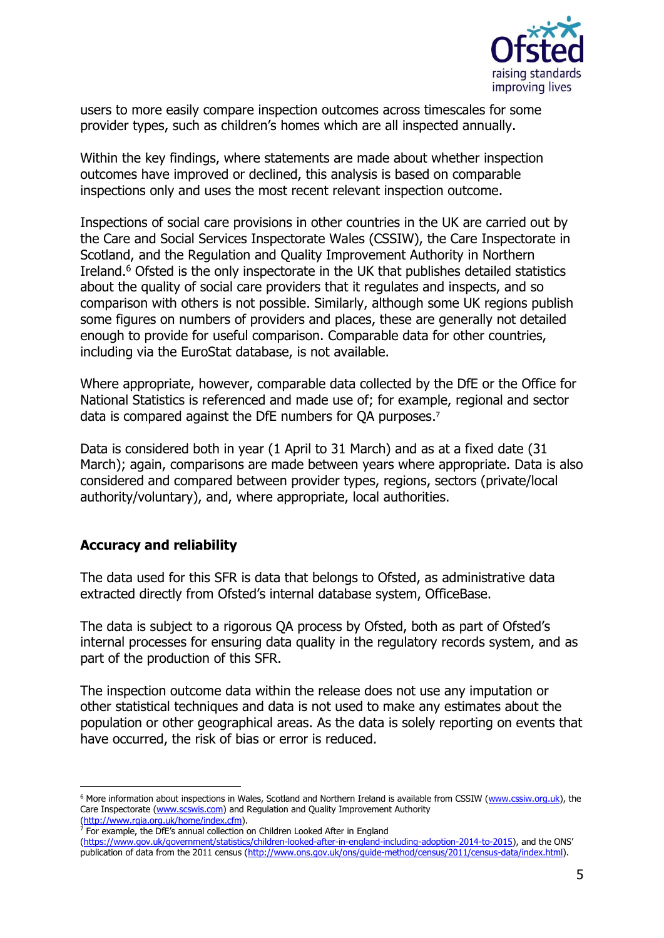

users to more easily compare inspection outcomes across timescales for some provider types, such as children's homes which are all inspected annually.

Within the key findings, where statements are made about whether inspection outcomes have improved or declined, this analysis is based on comparable inspections only and uses the most recent relevant inspection outcome.

Inspections of social care provisions in other countries in the UK are carried out by the Care and Social Services Inspectorate Wales (CSSIW), the Care Inspectorate in Scotland, and the Regulation and Quality Improvement Authority in Northern Ireland. <sup>6</sup> Ofsted is the only inspectorate in the UK that publishes detailed statistics about the quality of social care providers that it regulates and inspects, and so comparison with others is not possible. Similarly, although some UK regions publish some figures on numbers of providers and places, these are generally not detailed enough to provide for useful comparison. Comparable data for other countries, including via the EuroStat database, is not available.

Where appropriate, however, comparable data collected by the DfE or the Office for National Statistics is referenced and made use of; for example, regional and sector data is compared against the DfE numbers for QA purposes.<sup>7</sup>

Data is considered both in year (1 April to 31 March) and as at a fixed date (31 March); again, comparisons are made between years where appropriate. Data is also considered and compared between provider types, regions, sectors (private/local authority/voluntary), and, where appropriate, local authorities.

#### **Accuracy and reliability**

-

The data used for this SFR is data that belongs to Ofsted, as administrative data extracted directly from Ofsted's internal database system, OfficeBase.

The data is subject to a rigorous QA process by Ofsted, both as part of Ofsted's internal processes for ensuring data quality in the regulatory records system, and as part of the production of this SFR.

The inspection outcome data within the release does not use any imputation or other statistical techniques and data is not used to make any estimates about the population or other geographical areas. As the data is solely reporting on events that have occurred, the risk of bias or error is reduced.

<sup>&</sup>lt;sup>6</sup> More information about inspections in Wales, Scotland and Northern Ireland is available from CSSIW [\(www.cssiw.org.uk\)](http://cssiw.org.uk/?lang=en), the Care Inspectorate [\(www.scswis.com\)](http://www.scswis.com/) and Regulation and Quality Improvement Authority [\(http://www.rqia.org.uk/home/index.cfm\)](http://www.rqia.org.uk/home/index.cfm).

 $<sup>7</sup>$  For example, the DfE's annual collection on Children Looked After in England</sup>

[<sup>\(</sup>https://www.gov.uk/government/statistics/children-looked-after-in-england-including-adoption-2014-to-2015](https://www.gov.uk/government/statistics/children-looked-after-in-england-including-adoption-2014-to-2015)), and the ONS' publication of data from the 2011 census [\(http://www.ons.gov.uk/ons/guide-method/census/2011/census-data/index.html\)](http://www.ons.gov.uk/ons/guide-method/census/2011/census-data/index.html).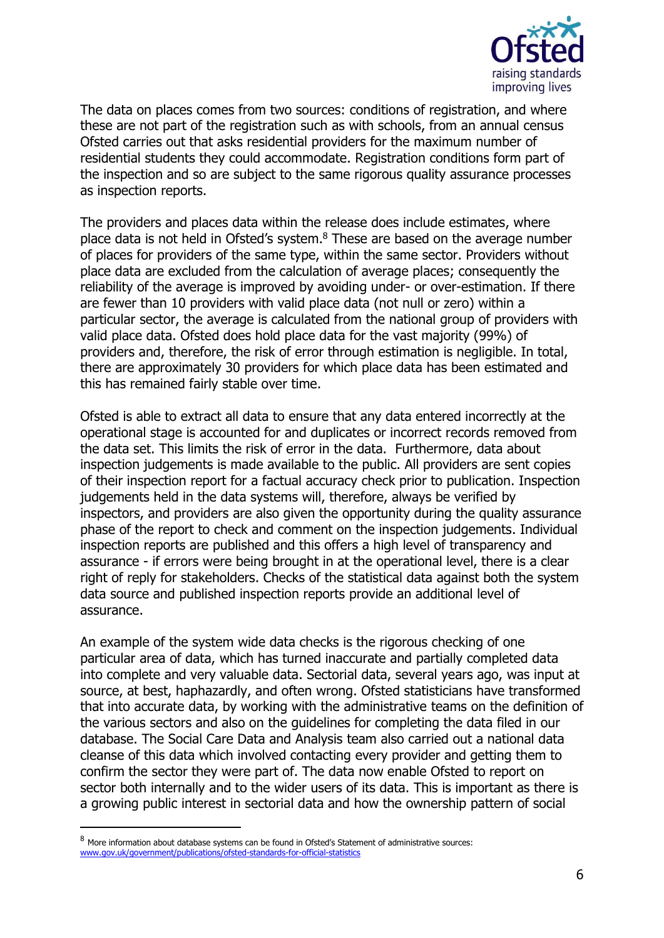

The data on places comes from two sources: conditions of registration, and where these are not part of the registration such as with schools, from an annual census Ofsted carries out that asks residential providers for the maximum number of residential students they could accommodate. Registration conditions form part of the inspection and so are subject to the same rigorous quality assurance processes as inspection reports.

The providers and places data within the release does include estimates, where place data is not held in Ofsted's system.<sup>8</sup> These are based on the average number of places for providers of the same type, within the same sector. Providers without place data are excluded from the calculation of average places; consequently the reliability of the average is improved by avoiding under- or over-estimation. If there are fewer than 10 providers with valid place data (not null or zero) within a particular sector, the average is calculated from the national group of providers with valid place data. Ofsted does hold place data for the vast majority (99%) of providers and, therefore, the risk of error through estimation is negligible. In total, there are approximately 30 providers for which place data has been estimated and this has remained fairly stable over time.

Ofsted is able to extract all data to ensure that any data entered incorrectly at the operational stage is accounted for and duplicates or incorrect records removed from the data set. This limits the risk of error in the data. Furthermore, data about inspection judgements is made available to the public. All providers are sent copies of their inspection report for a factual accuracy check prior to publication. Inspection judgements held in the data systems will, therefore, always be verified by inspectors, and providers are also given the opportunity during the quality assurance phase of the report to check and comment on the inspection judgements. Individual inspection reports are published and this offers a high level of transparency and assurance - if errors were being brought in at the operational level, there is a clear right of reply for stakeholders. Checks of the statistical data against both the system data source and published inspection reports provide an additional level of assurance.

An example of the system wide data checks is the rigorous checking of one particular area of data, which has turned inaccurate and partially completed data into complete and very valuable data. Sectorial data, several years ago, was input at source, at best, haphazardly, and often wrong. Ofsted statisticians have transformed that into accurate data, by working with the administrative teams on the definition of the various sectors and also on the guidelines for completing the data filed in our database. The Social Care Data and Analysis team also carried out a national data cleanse of this data which involved contacting every provider and getting them to confirm the sector they were part of. The data now enable Ofsted to report on sector both internally and to the wider users of its data. This is important as there is a growing public interest in sectorial data and how the ownership pattern of social

-

<sup>8</sup> More information about database systems can be found in Ofsted's Statement of administrative sources: [www.gov.uk/government/publications/ofsted-standards-for-official-statistics](https://www.gov.uk/government/publications/ofsted-standards-for-official-statistics)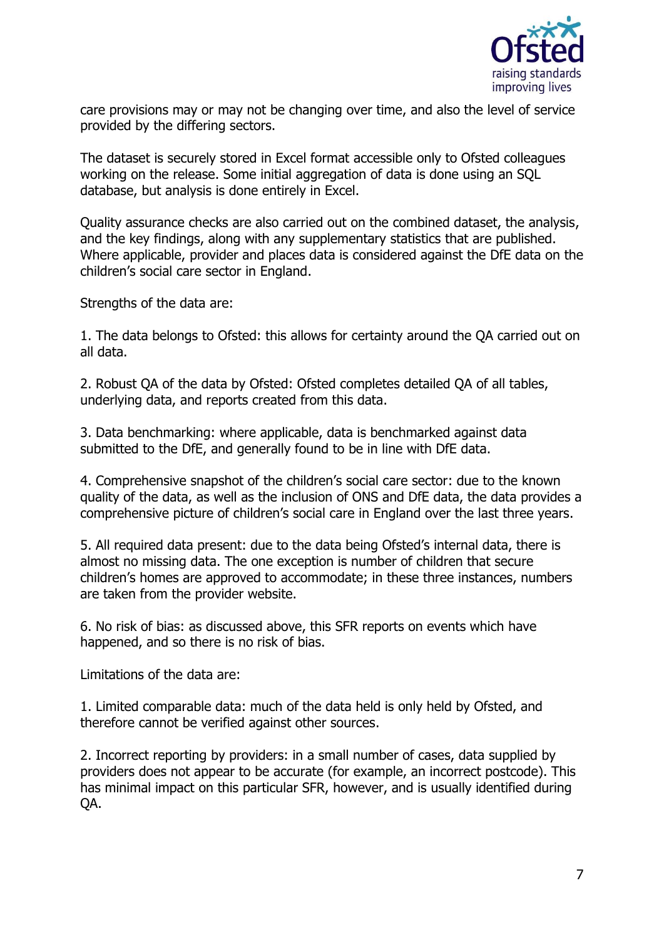

care provisions may or may not be changing over time, and also the level of service provided by the differing sectors.

The dataset is securely stored in Excel format accessible only to Ofsted colleagues working on the release. Some initial aggregation of data is done using an SQL database, but analysis is done entirely in Excel.

Quality assurance checks are also carried out on the combined dataset, the analysis, and the key findings, along with any supplementary statistics that are published. Where applicable, provider and places data is considered against the DfE data on the children's social care sector in England.

Strengths of the data are:

1. The data belongs to Ofsted: this allows for certainty around the QA carried out on all data.

2. Robust QA of the data by Ofsted: Ofsted completes detailed QA of all tables, underlying data, and reports created from this data.

3. Data benchmarking: where applicable, data is benchmarked against data submitted to the DfE, and generally found to be in line with DfE data.

4. Comprehensive snapshot of the children's social care sector: due to the known quality of the data, as well as the inclusion of ONS and DfE data, the data provides a comprehensive picture of children's social care in England over the last three years.

5. All required data present: due to the data being Ofsted's internal data, there is almost no missing data. The one exception is number of children that secure children's homes are approved to accommodate; in these three instances, numbers are taken from the provider website.

6. No risk of bias: as discussed above, this SFR reports on events which have happened, and so there is no risk of bias.

Limitations of the data are:

1. Limited comparable data: much of the data held is only held by Ofsted, and therefore cannot be verified against other sources.

2. Incorrect reporting by providers: in a small number of cases, data supplied by providers does not appear to be accurate (for example, an incorrect postcode). This has minimal impact on this particular SFR, however, and is usually identified during QA.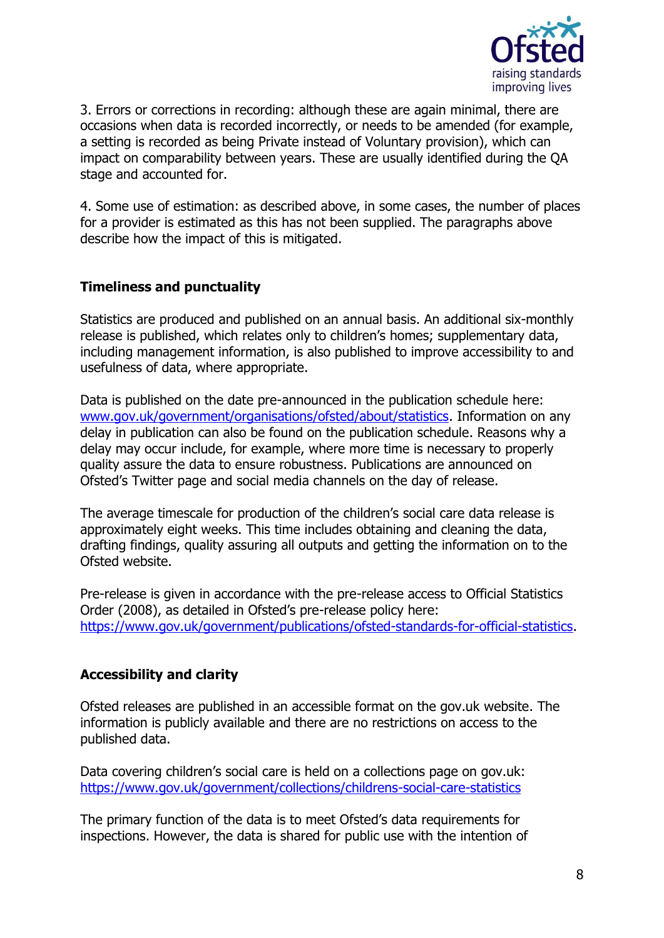

3. Errors or corrections in recording: although these are again minimal, there are occasions when data is recorded incorrectly, or needs to be amended (for example, a setting is recorded as being Private instead of Voluntary provision), which can impact on comparability between years. These are usually identified during the QA stage and accounted for.

4. Some use of estimation: as described above, in some cases, the number of places for a provider is estimated as this has not been supplied. The paragraphs above describe how the impact of this is mitigated.

## **Timeliness and punctuality**

Statistics are produced and published on an annual basis. An additional six-monthly release is published, which relates only to children's homes; supplementary data, including management information, is also published to improve accessibility to and usefulness of data, where appropriate.

Data is published on the date pre-announced in the publication schedule here: [www.gov.uk/government/organisations/ofsted/about/statistics.](https://www.gov.uk/government/organisations/ofsted/about/statistics) Information on any delay in publication can also be found on the publication schedule. Reasons why a delay may occur include, for example, where more time is necessary to properly quality assure the data to ensure robustness. Publications are announced on Ofsted's Twitter page and social media channels on the day of release.

The average timescale for production of the children's social care data release is approximately eight weeks. This time includes obtaining and cleaning the data, drafting findings, quality assuring all outputs and getting the information on to the Ofsted website.

Pre-release is given in accordance with the pre-release access to Official Statistics Order (2008), as detailed in Ofsted's pre-release policy here: [https://www.gov.uk/government/publications/ofsted-standards-for-official-statistics.](https://www.gov.uk/government/publications/ofsted-standards-for-official-statistics)

#### **Accessibility and clarity**

Ofsted releases are published in an accessible format on the gov.uk website. The information is publicly available and there are no restrictions on access to the published data.

Data covering children's social care is held on a collections page on gov.uk: <https://www.gov.uk/government/collections/childrens-social-care-statistics>

The primary function of the data is to meet Ofsted's data requirements for inspections. However, the data is shared for public use with the intention of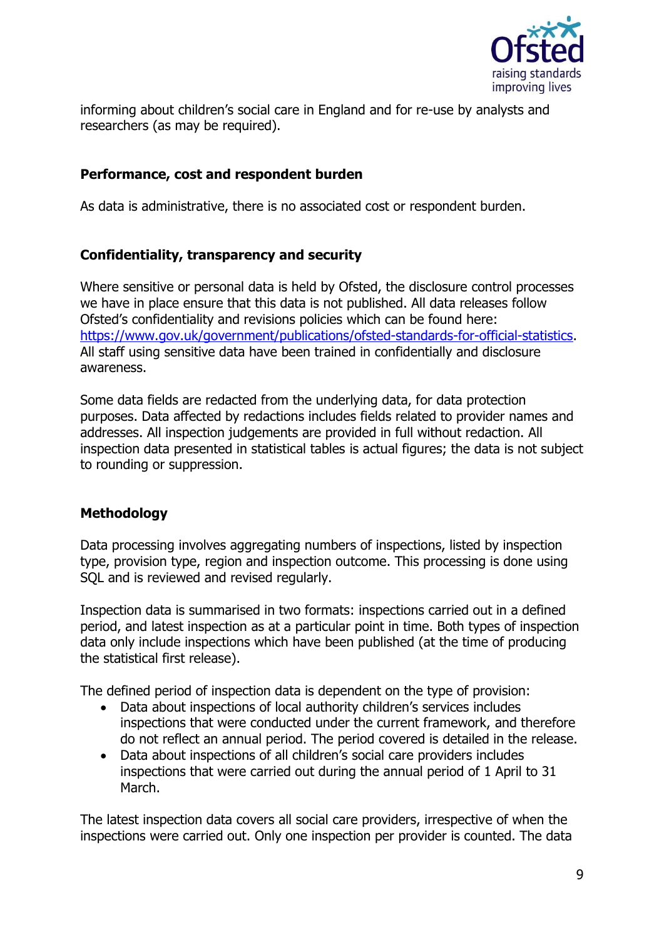

informing about children's social care in England and for re-use by analysts and researchers (as may be required).

### **Performance, cost and respondent burden**

As data is administrative, there is no associated cost or respondent burden.

## **Confidentiality, transparency and security**

Where sensitive or personal data is held by Ofsted, the disclosure control processes we have in place ensure that this data is not published. All data releases follow Ofsted's confidentiality and revisions policies which can be found here: [https://www.gov.uk/government/publications/ofsted-standards-for-official-statistics.](https://www.gov.uk/government/publications/ofsted-standards-for-official-statistics) All staff using sensitive data have been trained in confidentially and disclosure awareness.

Some data fields are redacted from the underlying data, for data protection purposes. Data affected by redactions includes fields related to provider names and addresses. All inspection judgements are provided in full without redaction. All inspection data presented in statistical tables is actual figures; the data is not subject to rounding or suppression.

## **Methodology**

Data processing involves aggregating numbers of inspections, listed by inspection type, provision type, region and inspection outcome. This processing is done using SQL and is reviewed and revised regularly.

Inspection data is summarised in two formats: inspections carried out in a defined period, and latest inspection as at a particular point in time. Both types of inspection data only include inspections which have been published (at the time of producing the statistical first release).

The defined period of inspection data is dependent on the type of provision:

- Data about inspections of local authority children's services includes inspections that were conducted under the current framework, and therefore do not reflect an annual period. The period covered is detailed in the release.
- Data about inspections of all children's social care providers includes inspections that were carried out during the annual period of 1 April to 31 March.

The latest inspection data covers all social care providers, irrespective of when the inspections were carried out. Only one inspection per provider is counted. The data